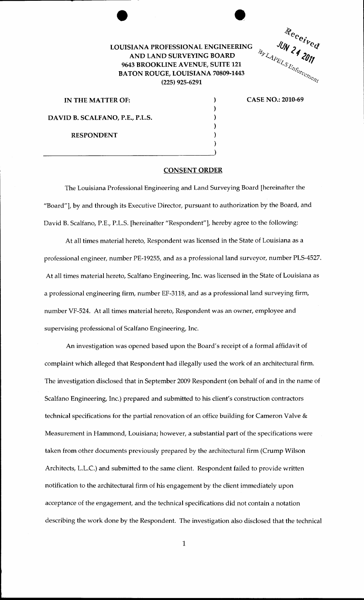## LOUISIANA PROFESSIONAL ENGINEERING AND LAND SURVEYING BOARD 9643 BROOKLINE AVENUE, SUITE 121 BATON ROUGE, LOUISIANA 70809-1443 (225) 925-6291

Received

IN THE MATTER OF: ) DAVID B. SCALFANO, P.E., P.L.S.

 $\overline{\phantom{a}}$ 

RESPONDENT

CASE NO.: 2010-69

CONSENT ORDER

) ) ) ) )

The Louisiana Professional Engineering and Land Surveying Board [hereinafter the "Board"], by and through its Executive Director, pursuant to authorization by the Board, and David B. Scalfano, P.E., P.L.S. [hereinafter "Respondent"], hereby agree to the following:

At all times material hereto, Respondent was licensed in the State of Louisiana as a professional engineer, number PE-19255, and as a professional land surveyor, number PLS-4527. At all times material hereto, Scalfano Engineering, Inc. was licensed in the State of Louisiana as a professional engineering firm, number EF-3118, and as a professional land surveying firm, number VF-524. At all times material hereto, Respondent was an owner, employee and supervising professional of Scalfano Engineering, Inc.

An investigation was opened based upon the Board's receipt of a formal affidavit of complaint which alleged that Respondent had illegally used the work of an architectural firm. The investigation disclosed that in September 2009 Respondent (on behalf of and in the name of Scalfano Engineering, Inc.) prepared and submitted to his client's construction contractors technical specifications for the partial renovation of an office building for Cameron Valve & Measurement in Hammond, Louisiana; however, a substantial part of the specifications were taken from other documents previously prepared by the architectural firm (Crump Wilson Architects, L.L.C.) and submitted to the same client. Respondent failed to provide written notification to the architectural firm of his engagement by the client immediately upon acceptance of the engagement, and the technical specifications did not contain a notation describing the work done by the Respondent. The investigation also disclosed that the technical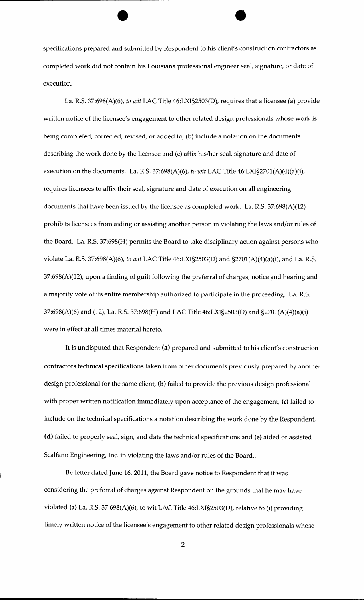specifications prepared and submitted by Respondent to his client's construction contractors as completed work did not contain his Louisiana professional engineer seal, signature, or date of execution.

La. R.S. 37:698(A)(6), *to wit* LAC Title 46:LXI§2503(D), requires that a licensee (a) provide written notice of the licensee's engagement to other related design professionals whose work is being completed, corrected, revised, or added to, (b) include a notation on the documents describing the work done by the licensee and (c) affix his/her seal, signature and date of execution on the documents. La. R.S. 37:698(A)(6), *to wit* LAC Title 46:LXI§2701(A)(4)(a)(i), requires licensees to affix their seal, signature and date of execution on all engineering documents that have been issued by the licensee as completed work. La. R.S. 37:698(A)(12) prohibits licensees from aiding or assisting another person in violating the laws and/or rules of the Board. La. R.S. 37:698(H) permits the Board to take disciplinary action against persons who violate La. R.S. 37:698(A)(6), *to wit* LAC Title 46:LXI§2503(D) and §2701(A)(4)(a)(i), and La. R.S. 37:698(A)(12), upon a finding of guilt following the preferral of charges, notice and hearing and a majority vote of its entire membership authorized to participate in the proceeding. La. R.S. 37:698(A)(6) and (12), La. R.S. 37:698(H) and LAC Title 46:LXI§2503(D) and §2701(A)(4)(a)(i) were in effect at all times material hereto.

It is undisputed that Respondent (a) prepared and submitted to his client's construction contractors technical specifications taken from other documents previously prepared by another design professional for the same client, (b) failed to provide the previous design professional with proper written notification immediately upon acceptance of the engagement, (c) failed to include on the technical specifications a notation describing the work done by the Respondent, (d) failed to properly seal, sign, and date the technical specifications and (e) aided or assisted Scalfano Engineering, Inc. in violating the laws and/or rules of the Board..

By letter dated June 16, 2011, the Board gave notice to Respondent that it was considering the preferral of charges against Respondent on the grounds that he may have violated (a) La. R.S. 37:698(A)(6), to wit LAC Title 46:LXI§2503(D), relative to (i) providing timely written notice of the licensee's engagement to other related design professionals whose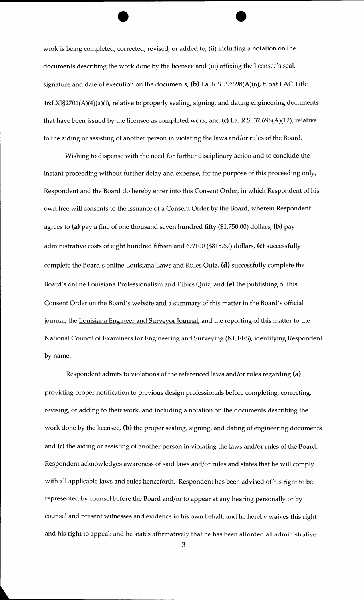work is being completed, corrected, revised, or added to, (ii) including a notation on the documents describing the work done by the licensee and (iii) affixing the licensee's seal, signature and date of execution on the documents, (b) La. R.S. 37:698(A)(6), *to wit* LAC Title 46:LXI§2701(A)(4)(a)(i), relative to properly sealing, signing, and dating engineering documents that have been issued by the licensee as completed work, and (c) La. R.S. 37:698(A)(12), relative to the aiding or assisting of another person in violating the laws and/or rules of the Board.

Wishing to dispense with the need for further disciplinary action and to conclude the instant proceeding without further delay and expense, for the purpose of this proceeding only, Respondent and the Board do hereby enter into this Consent Order, in which Respondent of his own free will consents to the issuance of a Consent Order by the Board, wherein Respondent agrees to (a) pay a fine of one thousand seven hundred fifty (\$1,750.00) dollars, (b) pay administrative costs of eight hundred fifteen and 67/100 (\$815.67) dollars, (c) successfully complete the Board's online Louisiana Laws and Rules Quiz, (d) successfully complete the Board's online Louisiana Professionalism and Ethics Quiz, and (e) the publishing of this Consent Order on the Board's website and a summary of this matter in the Board's official journal, the Louisiana Engineer and Surveyor Journal, and the reporting of this matter to the National Council of Examiners for Engineering and Surveying (NCEES), identifying Respondent by name.

Respondent admits to violations of the referenced laws and/or rules regarding (a) providing proper notification to previous design professionals before completing, correcting, revising, or adding to their work, and including a notation on the documents describing the work done by the licensee, (b) the proper sealing, signing, and dating of engineering documents and (c) the aiding or assisting of another person in violating the laws and/or rules of the Board. Respondent acknowledges awareness of said laws and/or rules and states that he will comply with all applicable laws and rules henceforth. Respondent has been advised of his right to be represented by counsel before the Board and/or to appear at any hearing personally or by counsel and present witnesses and evidence in his own behalf, and he hereby waives this right and his right to appeal; and he states affirmatively that he has been afforded all administrative

3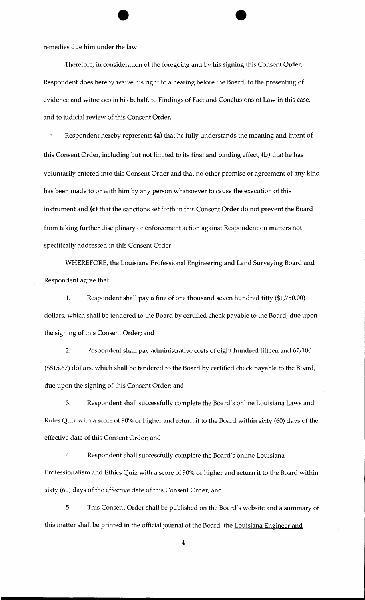remedies due him under the law.

Therefore, in consideration of the foregoing and by his signing this Consent Order, Respondent does hereby waive his right to a hearing before the Board, to the presenting of evidence and witnesses in his behalf, to Findings of Fact and Conclusions of Law in this case, and to judicial review of this Consent Order.

Respondent hereby represents (a) that he fully understands the meaning and intent of this Consent Order, including but not limited to its final and binding effect, (b) that he has voluntarily entered into this Consent Order and that no other promise or agreement of any kind has been made to or with him by any person whatsoever to cause the execution of this instrument and (c) that the sanctions set forth in this Consent Order do not prevent the Board from taking further disciplinary or enforcement action against Respondent on matters not specifically addressed in this Consent Order.

WHEREFORE, the Louisiana Professional Engineering and Land Surveying Board and Respondent agree that:

1. Respondent shall pay a fine of one thousand seven hundred fifty (\$1,750.00) dollars, which shall be tendered to the Board by certified check payable to the Board, due upon the signing of this Consent Order; and

2. Respondent shall pay administrative costs of eight hundred fifteen and 67/100 (\$815.67) dollars, which shall be tendered to the Board by certified check payable to the Board, due upon the signing of this Consent Order; and

3. Respondent shall successfully complete the Board's online Louisiana Laws and Rules Quiz with a score of 90% or higher and return it to the Board within sixty (60) days of the effective date of this Consent Order; and

4. Respondent shall successfully complete the Board's online Louisiana Professionalism and Ethics Quiz with a score of 90% or higher and return it to the Board within sixty (60) days of the effective date of this Consent Order; and

5. This Consent Order shall be published on the Board's website and a summary of this matter shall be printed in the official journal of the Board, the Louisiana Engineer and

4